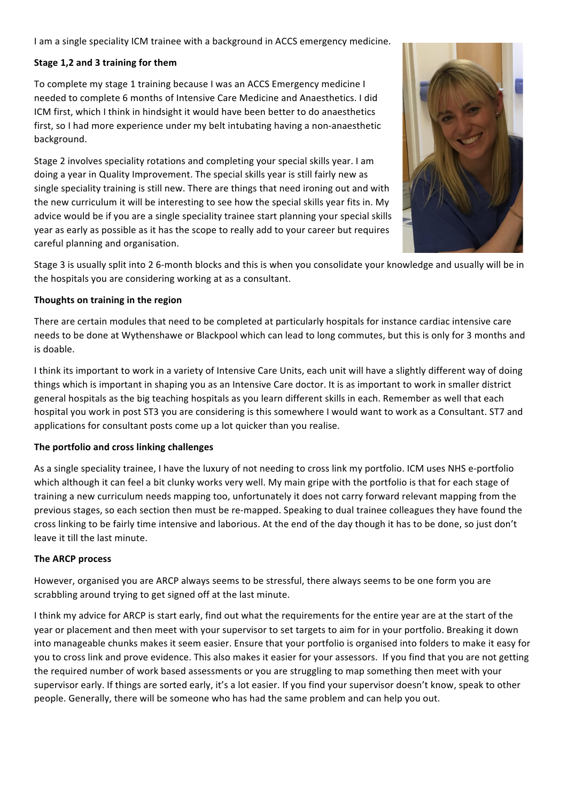I am a single speciality ICM trainee with a background in ACCS emergency medicine.

## **Stage 1,2 and 3 training for them**

To complete my stage 1 training because I was an ACCS Emergency medicine I needed to complete 6 months of Intensive Care Medicine and Anaesthetics. I did ICM first, which I think in hindsight it would have been better to do anaesthetics first, so I had more experience under my belt intubating having a non-anaesthetic background. 

Stage 2 involves speciality rotations and completing your special skills year. I am doing a year in Quality Improvement. The special skills year is still fairly new as single speciality training is still new. There are things that need ironing out and with the new curriculum it will be interesting to see how the special skills year fits in. My advice would be if you are a single speciality trainee start planning your special skills year as early as possible as it has the scope to really add to your career but requires careful planning and organisation.



Stage 3 is usually split into 2 6-month blocks and this is when you consolidate your knowledge and usually will be in the hospitals you are considering working at as a consultant.

## Thoughts on training in the region

There are certain modules that need to be completed at particularly hospitals for instance cardiac intensive care needs to be done at Wythenshawe or Blackpool which can lead to long commutes, but this is only for 3 months and is doable.

I think its important to work in a variety of Intensive Care Units, each unit will have a slightly different way of doing things which is important in shaping you as an Intensive Care doctor. It is as important to work in smaller district general hospitals as the big teaching hospitals as you learn different skills in each. Remember as well that each hospital you work in post ST3 you are considering is this somewhere I would want to work as a Consultant. ST7 and applications for consultant posts come up a lot quicker than you realise.

## The portfolio and cross linking challenges

As a single speciality trainee, I have the luxury of not needing to cross link my portfolio. ICM uses NHS e-portfolio which although it can feel a bit clunky works very well. My main gripe with the portfolio is that for each stage of training a new curriculum needs mapping too, unfortunately it does not carry forward relevant mapping from the previous stages, so each section then must be re-mapped. Speaking to dual trainee colleagues they have found the cross linking to be fairly time intensive and laborious. At the end of the day though it has to be done, so just don't leave it till the last minute.

## **The ARCP process**

However, organised you are ARCP always seems to be stressful, there always seems to be one form you are scrabbling around trying to get signed off at the last minute.

I think my advice for ARCP is start early, find out what the requirements for the entire year are at the start of the year or placement and then meet with your supervisor to set targets to aim for in your portfolio. Breaking it down into manageable chunks makes it seem easier. Ensure that your portfolio is organised into folders to make it easy for you to cross link and prove evidence. This also makes it easier for your assessors. If you find that you are not getting the required number of work based assessments or you are struggling to map something then meet with your supervisor early. If things are sorted early, it's a lot easier. If you find your supervisor doesn't know, speak to other people. Generally, there will be someone who has had the same problem and can help you out.